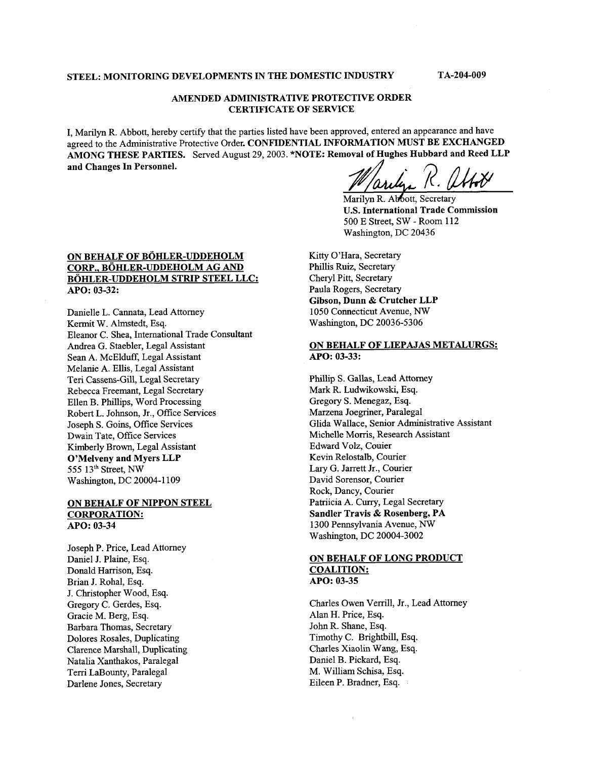## **STEEL: MONITORING DEVELOPMENTS IN THE DOMESTIC INDUSTRY TA-204-009**

## **AMENDED ADMINISTRATIVE PROTECTIVE ORDER CERTIFICATE OF SERVICE**

I, Marilyn R. Abbott, hereby certify that the parties listed have been approved, entered an appearance and have agreed to the Administrative Protective Order. **CONFIDENTIAL INFORMATION MUST BE EXCHANGED AMONG THESE PARTIES.** Served August 29,2003. **\*NOTE: Removal of Hughes Hubbard and Reed LLP and Changes In Personnel. EXCHANGED**<br> **dependence of Hughes Hubbard and Reed LLP**<br> *dependence R. (MAN)*<br> *dependence R. Alboott, Secretary* 

Marilyn R. Abbott, Secretary **U.S. International Trade Commission 500** E Street, SW - Room 112 Washington, DC 20436

## **ON BEHALF OF BOHLER-UDDEHOLM BOHLER-UDDEHOLM STRIP STEEL LLC: CORP., BOHLER-UDDEHOLM AG** *AND*  **APO: 03-32:**

Danielle L. Cannata, Lead Attorney Kermit W. Almstedt, Esq. Eleanor C. Shea, International Trade Consultant Andrea G. Staebler, Legal Assistant Sean A. McElduff, Legal Assistant Melanie A. Ellis, Legal Assistant Teri Cassens-Gill, Legal Secretary Rebecca Freemant, Legal Secretary Ellen B. Phillips, Word Processing Robert L. Johnson, Jr., Office Services Joseph S. Goins, Office Services Dwain Tate, Office Services Kimberly Brown, Legal Assistant **O'Melveny and Myers LLP 555** 13th Street, *NW*  Washington, DC 20004-1 109

#### **ON BEHALF OF NIPPON STEEL CORPORATION:**  *APO:* **03-34**

Joseph P. Price, Lead Attorney Daniel J. Plaine, Esq. Donald Harrison, Esq. Brian J. Rohal, Esq. J. Christopher Wood, Esq. Gregory C. Gerdes, Esq. Gracie M. Berg, Esq. Barbara Thomas, Secretary Dolores Rosales, Duplicating Clarence Marshall, Duplicating Natalia Xanthakos, Paralegal Terri LaBounty, Paralegal Darlene Jones, Secretary

Kitty O'Hara, Secretary Phillis Ruiz, Secretary Cheryl Pitt, Secretary Paula Rogers, Secretary **Gibson, Dunn** & **Crutcher LLP**  1050 Connecticut Avenue, *NW*  Washington, DC 20036-5306

## **ON BEHALF OF LIEPAJAS METALURGS:**  *APO: 03-33:*

Phillip S. Gallas, Lead Attorney Mark R. Ludwikowski, Esq. Gregory S. Menegaz, Esq. Marzena Joegriner, Paralegal Glida Wallace, Senior Administrative Assistant Michelle Morris, Research Assistant Edward Volz, Couier Kevin Relostalb, Courier Lary G. Jarrett Jr., Courier David Sorensor, Courier Rock, Dancy, Courier Patriicia A. Curry, Legal Secretary **Sandler Travis** & **Rosenberg, PA**  1300 Pennsylvania Avenue, *NW*  Washington, DC 20004-3002

### **ON BEHALF OF LONG PRODUCT COALITION:**  *APO:* **03-35**

Charles Owen Verrill, Jr., Lead Attorney Alan H. Price, Esq. John R. Shane, Esq. Timothy C. Brightbill, Esq. Charles Xiaolin Wang, Esq. Daniel B. Pickard, Esq. M. William Schisa, Esq. Eileen P. Bradner, Esq.

 $\mathcal{L}$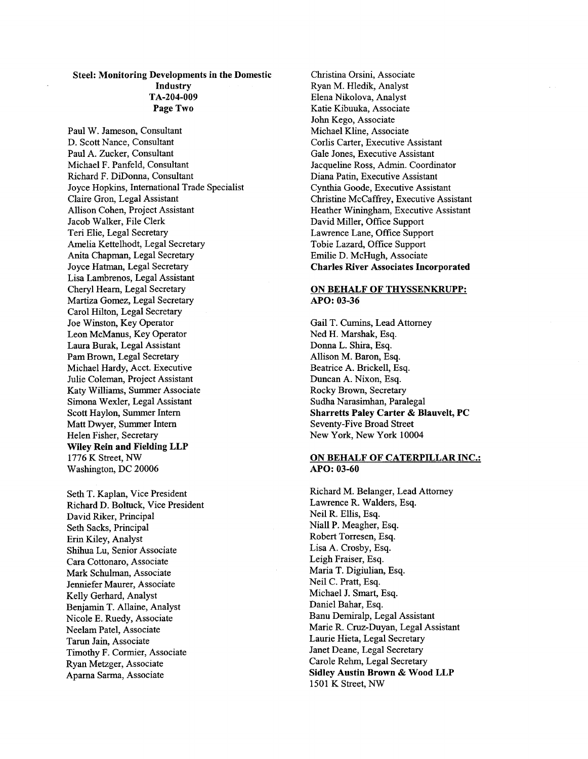## Steel: Monitoring Developments in the Domestic **Industry** Page Two TA-204-009

Paul W. Jameson, Consultant D. Scott Nance, Consultant Paul A. Zucker, Consultant Michael F. Panfeld, Consultant Richard F. DiDonna, Consultant Joyce Hopkins, International Trade Specialist Claire Gron, Legal Assistant Allison Cohen, Project Assistant Jacob Walker, File Clerk Teri Elie, Legal Secretary Amelia Kettelhodt, Legal Secretary Anita Chapman, Legal Secretary Joyce Hatman, Legal Secretary Lisa Lambrenos, Legal Assistant Cheryl Hearn, Legal Secretary Martiza Gomez, Legal Secretary Carol Hilton, Legal Secretary Joe Winston, Key Operator Leon McManus, Key Operator Laura Burak, Legal Assistant Pam Brown, Legal Secretary Michael Hardy, Acct. Executive Julie Coleman, Project Assistant Katy Williams, Summer Associate Simona Wexler, Legal Assistant Scott Haylon, Summer Intern Matt Dwyer, Summer Intern Helen Fisher, Secretary Wiley Rein and Fielding LLP 1776 K Street, *NW*  Washington, DC 20006

Seth T. Kaplan, Vice President Richard D. Boltuck, Vice President David Riker, Principal Seth Sacks, Principal Erin Kiley, Analyst Shihua Lu, Senior Associate Cara Cottonaro, Associate Mark Schulman, Associate Jenniefer Maurer, Associate Kelly Gerhard, Analyst Benjamin T. Allaine, Analyst Nicole E. Ruedy, Associate Neelam Patel, Associate Tarun Jain, Associate Timothy F. Cormier, Associate Ryan Metzger, Associate Aparna Sarma, Associate

Christina Orsini, Associate Ryan M. Hledik, Analyst Elena Nikolova, Analyst Katie Kibuuka, Associate John Kego, Associate Michael Kline, Associate Corlis Carter, Executive Assistant Gale Jones, Executive Assistant Jacqueline Ross, Admin. Coordinator Diana Patin, Executive Assistant Cynthia Goode, Executive Assistant Christine McCaffiey, Executive Assistant Heather Winingham, Executive Assistant David Miller, Office Support Lawrence Lane, Office Support Tobie Lazard, Office Support Emilie D. McHugh, Associate Charles River Associates Incorporated

#### **ON** BEHALF **OF** THYSSENKRUPP: *APO:* **03-36**

Gail T. Cumins, Lead Attorney Ned H. Marshak, Esq. Donna L. Shira, Esq. Allison M. Baron, Esq. Beatrice A. Brickell, Esq. Duncan A. Nixon, Esq. Rocky Brown, Secretary Sudha Narasimhan, Paralegal Sharretts Paley Carter & Blauvelt, PC Seventy-Five Broad Street New York, New York 10004

### **ON** BEHALF **OF** CATERPILLAR INC.: *APO:* **03-60**

Richard M. Belanger, Lead Attorney Lawrence R. Walders, Esq. Neil R. Ellis, Esq. Niall P. Meagher, Esq. Robert Torresen, Esq. Lisa A. Crosby, Esq. Leigh Fraiser, Esq. Maria T. Digiulian, Esq. Neil C. Pratt, Esq. Michael J. Smart, Esq. Daniel Bahar, Esq. Banu Demiralp, Legal Assistant Marie R. Cruz-Duyan, Legal Assistant Laurie Hieta, Legal Secretary Janet Deane, Legal Secretary Carole Rehm, Legal Secretary Sidley Austin Brown & Wood LLP 1501 K Street, *NW*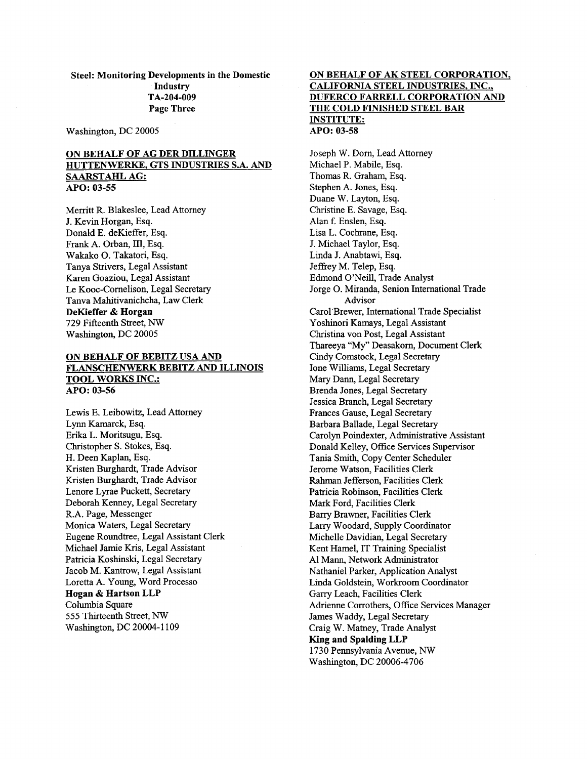**Steel: Monitoring Developments in the Domestic Industry Page Three TA-204-009** 

Washington, DC 20005

## **ON BEHALF OF AG DER DILLINGER HUTTENWERKE, GTS INDUSTRIES S.A. AND SAARSTAHL AG:**  *APO:* **03-55**

Merritt R. Blakeslee, Lead Attorney J. Kevin Horgan, Esq. Donald E. deKieffer, Esq. Frank A. Orban, 111, Esq. Wakako 0. Takatori, Esq. Tanya Strivers, Legal Assistant Karen Goaziou, Legal Assistant Le Kooc-Cornelison, Legal Secretary Tanva Mahitivanichcha, Law Clerk **DeKieffer** & **Horgan**  729 Fifteenth Street, *NW*  Washington, DC 20005

#### **ON BEHALF OF BEBITZ USA AND FLANSCHENWERK BEBITZ AND ILLINOIS TOOL WORKS INC.:**  *APO:* **03-56**

Lewis E. Leibowitz, Lead Attorney Lynn Kamarck, Esq. Erika L. Moritsugu, Esq. Christopher S. Stokes, Esq. H. Deen Kaplan, Esq. Kristen Burghardt, Trade Advisor Kristen Burghardt, Trade Advisor Lenore Lyrae Puckett, Secretary Deborah Kenney, Legal Secretary R.A. Page, Messenger Monica Waters, Legal Secretary Eugene Roundtree, Legal Assistant Clerk Michael Jamie Kris, Legal Assistant Patricia Koshinski, Legal Secretary Jacob M. Kantrow, Legal Assistant Loretta A. Young, Word Processo **Hogan** & **Hartson LLP**  Columbia Square 555 Thuteenth Street, **NW**  Washington, DC 20004-1 109

### **ON BEHALF OF AK STEEL CORPORATION, CALIFORNIA STEEL INDUSTRIES, INC., DUFERCO FARRELL CORPORATION AND THE COLD FINISHED STEEL BAR INSTITUTE:**  *APO:* **03-58**

Joseph W. Dorn, Lead Attorney Michael P. Mabile, Esq. Thomas R. Graham, Esq. Stephen A. Jones, Esq. Duane W. Layton, Esq. Christine E. Savage, Esq. Alan f. Enslen, Esq. Lisa L. Cochrane, Esq. J. Michael Taylor, Esq. Linda J. Anabtawi, Esq. Jeffrey M. Telep, Esq. Edmond O'Neill, Trade Analyst Jorge 0. Miranda, Senion International Trade Carol'Brewer, International Trade Specialist Yoshmori Kamays, Legal Assistant Christina von Post, Legal Assistant Thareeya "My" Deasakorn, Document Clerk Cindy Comstock, Legal Secretary Ione Williams, Legal Secretary Mary Dann, Legal Secretary Brenda Jones, Legal Secretary Jessica Branch, Legal Secretary Frances Gause, Legal Secretary Barbara Ballade, Legal Secretary Carolyn Poindexter, Administrative Assistant Donald Kelley, Office Services Supervisor Tania Smith, Copy Center Scheduler Jerome Watson, Facilities Clerk Rahman Jefferson, Facilities Clerk Patricia Robinson, Facilities Clerk Mark Ford, Facilities Clerk Barry Brawner, Facilities Clerk Larry Woodard, Supply Coordinator Michelle Davidian, Legal Secretary Kent Hamel, IT Training Specialist A1 Mann, Network Administrator Nathaniel Parker, Application Analyst Linda Goldstein, Workroom Coordinator Garry Leach, Facilities Clerk Adrienne Corrothers, Office Services Manager James Waddy, Legal Secretary Craig W. Matney, Trade Analyst **King and Spalding LLP**  1730 Pennsylvania Avenue, **NW**  Washington, DC 20006-4706 Advisor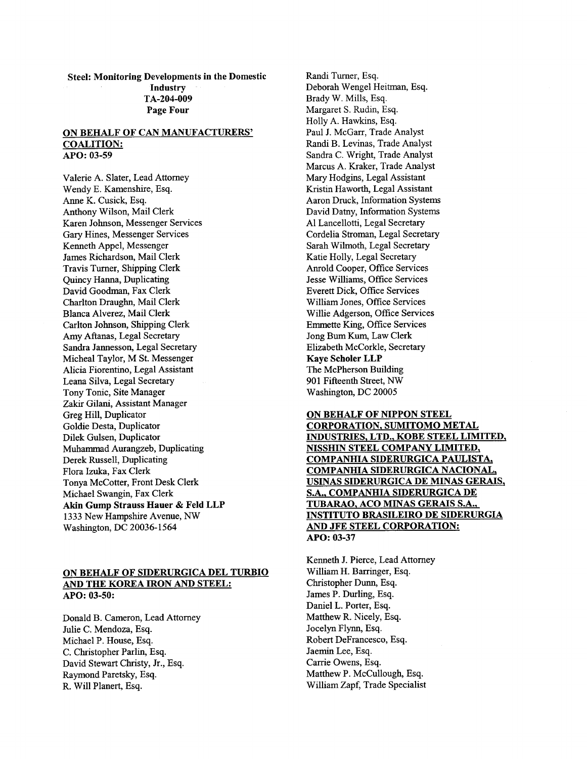**Steel: Monitoring Developments in the Domestic Industry Page Four TA-204-009** 

#### **ON BEHALF OF CAN MANUFACTURERS' COALITION:**  *APO:* **03-59**

Valerie A. Slater, Lead Attorney Wendy E. Kamenshire, Esq. Anne K. Cusick, Esq. Anthony Wilson, Mail Clerk Karen Johnson, Messenger Services Gary Hines, Messenger Services Kenneth Appel, Messenger James Richardson, Mail Clerk Travis Turner, Shipping Clerk Quincy Hanna, Duplicating David Goodman, Fax Clerk Charlton Draughn, Mail Clerk Blanca Alverez, Mail Clerk Carlton Johnson, Shipping Clerk Amy Aftanas, Legal Secretary Sandra Jannesson, Legal Secretary Micheal Taylor, M St. Messenger Alicia Fiorentino, Legal Assistant Leana Silva, Legal Secretary Tony Tonic, Site Manager Zakir Gilani, Assistant Manager Greg Hill, Duplicator Goldie Desta, Duplicator Dilek Gulsen, Duplicator Muhammad Aurangzeb, Duplicating Derek Russell, Duplicating Flora Izuka, Fax Clerk Tonya McCotter, Front Desk Clerk Michael Swangin, Fax Clerk **Akin Gump Straws Hauer** & **Feld LLP 1333** New Hampshire Avenue, **NW**  Washington, DC **20036-1564** 

## **ON BEHALF OF SIDERURGICA DEL TURBIO AND THE KOREA IRON AND STEEL:**  *APO:* **03-50:**

Donald B. Cameron, Lead Attorney Julie C. Mendoza, Esq. Michael P. House, Esq. C. Christopher Parlin, Esq. David Stewart Christy, Jr., Esq. Raymond Paretsky, Esq. R. Will Planert, Esq.

Randi Turner, Esq. Deborah Wengel Heitman, Esq. Brady W. Mills, Esq. Margaret S. Rudin, Esq. Holly A. Hawkins, Esq. Paul J. McGarr, Trade Analyst Randi B. Levinas, Trade Analyst Sandra C. Wright, Trade Analyst Marcus A. Kraker, Trade Analyst Mary Hodgins, Legal Assistant Kristin Haworth, Legal Assistant Aaron Druck, Information Systems David Datny, Information Systems A1 Lancellotti, Legal Secretary Cordelia Stroman, Legal Secretary Sarah Wilmoth, Legal Secretary Katie Holly, Legal Secretary Anrold Cooper, Office Services Jesse Williams, Office Services Everett Dick, Office Services William Jones, Office Services Willie Adgerson, Office Services Emmette King, Office Services Jong Bum Kum, Law Clerk Elizabeth McCorkle, Secretary **Kaye Scholer LLP**  The McPherson Building 901 Fifteenth Street, *NW*  Washington, DC 20005

**ON BEHALF OF NIPPON STEEL CORPORATION, SUMITOMO METAL INDUSTRIES, LTD., KOBE STEEL LIMITED, NISSHIN STEEL COMPANY LIMITED, COMPANHIA SIDERURGICA PAULISTA, COMPANHIA SIDERURGICA NACIONAL, USINAS SIDERURGICA DE MINAS GERAIS, S.A., COMPANHIA SIDERURGICA DE TUBARAO, ACO MINAS GERAIS S.A., INSTITUTO BRASILEIRO DE SIDERURGIA AND JFE STEEL CORPORATION:**  *APO:* **03-37** 

Kenneth J. Pierce, Lead Attorney William H. Barringer, Esq. Christopher Dunn, Esq. James P. Durling, Esq. Daniel L. Porter, Esq. Matthew R. Nicely, Esq. Jocelyn Flynn, Esq. Robert DeFrancesco, Esq. Jaemin Lee, Esq. Carrie Owens, Esq. Matthew P. McCullough, Esq. William Zapf, Trade Specialist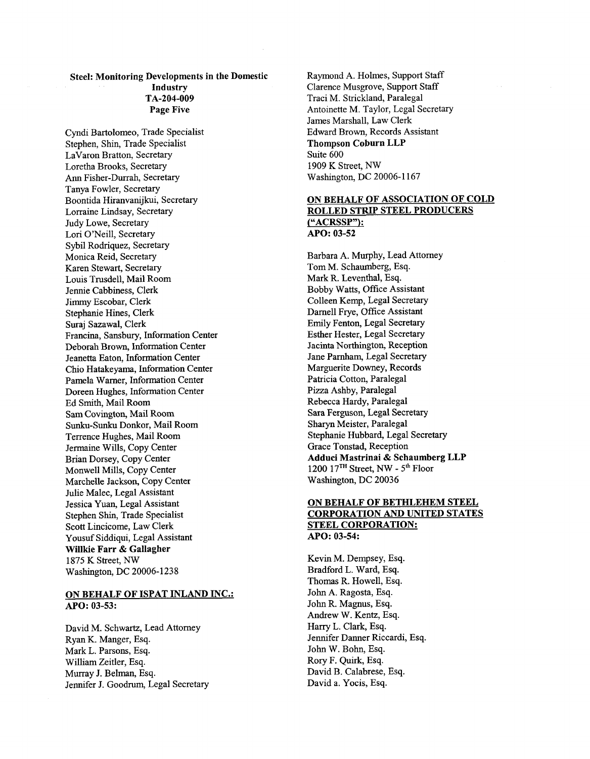# Steel: Monitoring Developments in the Domestic Industry Page Five TA-204-009

Cyndi Bartolomeo, Trade Specialist Stephen, Shin, Trade Specialist LaVaron Bratton, Secretary Loretha Brooks, Secretary *Ann* Fisher-Durrah, Secretary Tanya Fowler, Secretary Boontida Hiranvanijkui, Secretary Lorraine Lindsay, Secretary Judy Lowe, Secretary Lori O'Neill, Secretary Sybil Rodriquez, Secretary Monica Reid, Secretary Karen Stewart, Secretary Louis Trusdell, Mail Room Jennie Cabbiness, Clerk Jimmy Escobar, Clerk Stephanie Hines, Clerk Suraj Sazawal, Clerk Francina, Sansbury, Information Center Deborah Brown, Information Center Jeanetta Eaton, Information Center Chi0 Hatakeyama, Information Center Pamela Warner, Information Center Doreen Hughes, Information Center Ed Smith, Mail Room Sam Covington, Mail Room Sunku-Sunku Donkor, Mail Room Terrence Hughes, Mail Room Jermaine Wills, Copy Center Brian Dorsey, Copy Center Monwell Mills, Copy Center Marchelle Jackson, Copy Center Julie Malec, Legal Assistant Jessica Yuan, Legal Assistant Stephen Shin, Trade Specialist Scott Lincicome, Law Clerk Yousuf Siddiqui, Legal Assistant Willkie Farr & Gallagher 1875 K Street, *NW*  Washington, DC 20006-1238

### ON BEHALF OF ISPAT INLAND INC.: *APO:* 03-53:

David M. Schwartz, Lead Attorney Ryan K. Manger, Esq. Mark L. Parsons, Esq. William Zeitler, Esq. Murray J. Belman, Esq. Jennifer J. Goodrum, Legal Secretary Raymond A. Holmes, Support Staff Clarence Musgrove, Support Staff Traci M. Strickland, Paralegal Antoinette M. Taylor, Legal Secretary James Marshall, Law Clerk Edward Brown, Records Assistant Thompson Coburn LLP Suite 600 1909 K Street, NW Washington, DC 20006-1 167

## ON BEHALF OF ASSOCIATION OF COLD ROLLED STRIP STEEL PRODUCERS ("ACRSSP"): *APO:* 03-52

Barbara A. Murphy, Lead Attorney Tom M. Schaumberg, Esq. Mark R. Leventhal, Esq. Bobby Watts, Office Assistant Colleen Kemp, Legal Secretary Darnel1 Frye, Office Assistant Emily Fenton, Legal Secretary Esther Hester, Legal Secretary Jacinta Northington, Reception Jane Parnham, Legal Secretary Marguerite Downey, Records Patricia Cotton, Paralegal Pizza Ashby, Paralegal Rebecca Hardy, Paralegal Sara Ferguson, Legal Secretary **Sharyn** Meister, Paralegal Stephanie Hubbard, Legal Secretary Grace Tonstad, Reception Adduci Mastrinai & Schaumberg LLP 1200 17TH Street, *NW* - 5th Floor Washington, DC 20036

## ON BEHALF OF BETHLEHEM STEEL CORPORATION AND UNITED STATES STEEL CORPORATION: *APO:* 03-54:

Kevin M. Dempsey, Esq. Bradford L. Ward, Esq. Thomas R. Howell, Esq. John A. Ragosta, Esq. **John** R. Magnus, Esq. Andrew W. Kentz, Esq. Harry L. Clark, Esq. Jennifer Danner Riccardi, Esq. John W. Bohn, Esq. Rory F. Quirk, Esq. David B. Calabrese, Esq. David a. Yocis, Esq.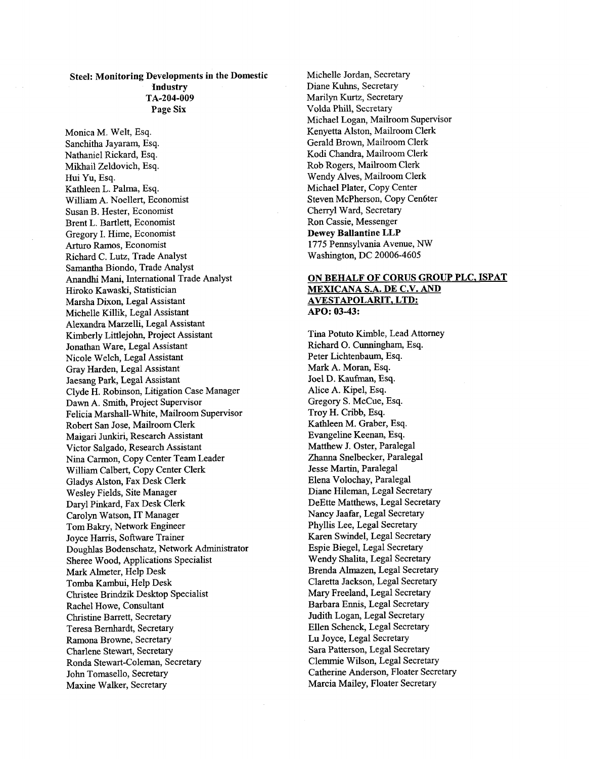# Steel: Monitoring Developments in the Domestic Industry Page **Six**  TA-204-009

Monica M. Welt, Esq. Sanchitha Jayaram, Esq. Nathaniel Rickard, Esq. Mikhail Zeldovich, Esq. Hui Yu, Esq. Kathleen L. Palma, Esq. William A. Noellert, Economist Susan B. Hester, Economist Brent L. Bartlett, Economist Gregory I. Hime, Economist *Arturo* Ramos, Economist Richard C. Lutz, Trade Analyst Samantha Biondo, Trade Analyst Anandhi Mani, International Trade Analyst Hiroko Kawaski, Statistician Marsha Dixon, Legal Assistant Michelle Killik, Legal Assistant Alexandra Marzelli, Legal Assistant Kimberly Littlejohn, Project Assistant Jonathan Ware, Legal Assistant Nicole Welch, Legal Assistant Gray Harden, Legal Assistant Jaesang Park, Legal Assistant Clyde H. Robinson, Litigation Case Manager Dawn A. Smith, Project Supervisor Felicia Marshall-White, Mailroom Supervisor Robert San Jose, Mailroom Clerk Maigari Junkiri, Research Assistant Victor Salgado, Research Assistant Nina Carmon, Copy Center Team Leader William Calbert, Copy Center Clerk Gladys Alston, Fax Desk Clerk Wesley Fields, Site Manager Daryl Pinkard, Fax Desk Clerk Carolyn Watson, IT Manager Tom Bakry, Network Engineer Joyce Harris, Software Trainer Doughlas Bodenschatz, Network Administrator Sheree Wood, Applications Specialist Mark Almeter, Help Desk Tomba Kambui, Help Desk Christee Brindzik Desktop Specialist Rachel Howe, Consultant Christine Barrett, Secretary Teresa Bernhardt, Secretary Ramona Browne, Secretary Charlene Stewart, Secretary Ronda Stewart-Coleman, Secretary John Tomasello, Secretary Maxine Walker, Secretary

Michelle Jordan, Secretary Diane Kuhns, Secretary Marilyn Kurtz, Secretary Volda Phill, Secretary Michael Logan, Mailroom Supervisor Kenyetta Alston, Mailroom Clerk Gerald Brown, Mailroom Clerk Kodi Chandra, Mailroom Clerk Rob Rogers, Mailroom Clerk Wendy Alves, Mailroom Clerk Michael Plater, Copy Center Steven McPherson, Copy Cen6ter Chenyl Ward, Secretary Ron Cassie, Messenger Dewey Ballantine LLP 1775 Pennsylvania Avenue, NW Washington, DC 20006-4605

## **ON** BEHALF OF **CORUS** GROUP PLC, ISPAT **MEXICANA** S.A. DE C.V. AND AVESTAPOLARIT, **LTD:**  *APO:* 03-43:

Tina Potuto Kimble, Lead Attorney Richard 0. Cunningham, Esq. Peter Lichtenbaum, Esq. Mark **A.** Moran, Esq. Joel D. Kaufinan, Esq. Alice A. Kipel, Esq. Gregory S. McCue, Esq. Troy H. Cribb, Esq. Kathleen M. Graber, Esq. Evangeline Keenan, Esq. Matthew J. Oster, Paralegal Zhanna Snelbecker, Paralegal Jesse Martin, Paralegal Elena Volochay, Paralegal Diane Hileman, Legal Secretary DeEtte Matthews, Legal Secretary Nancy Jaafar, Legal Secretary Phyllis Lee, Legal Secretary Karen Swindel, Legal Secretary Espie Biegel, Legal Secretary Wendy Shalita, Legal Secretary Brenda Almazen, Legal Secretary Claretta Jackson, Legal Secretary Mary Freeland, Legal Secretary Barbara Ennis, Legal Secretary Judith Logan, Legal Secretary Ellen Schenck, Legal Secretary Lu Joyce, Legal Secretary Sara Patterson, Legal Secretary Clemmie Wilson, Legal Secretary Catherine Anderson, Floater Secretary Marcia Mailey, Floater Secretary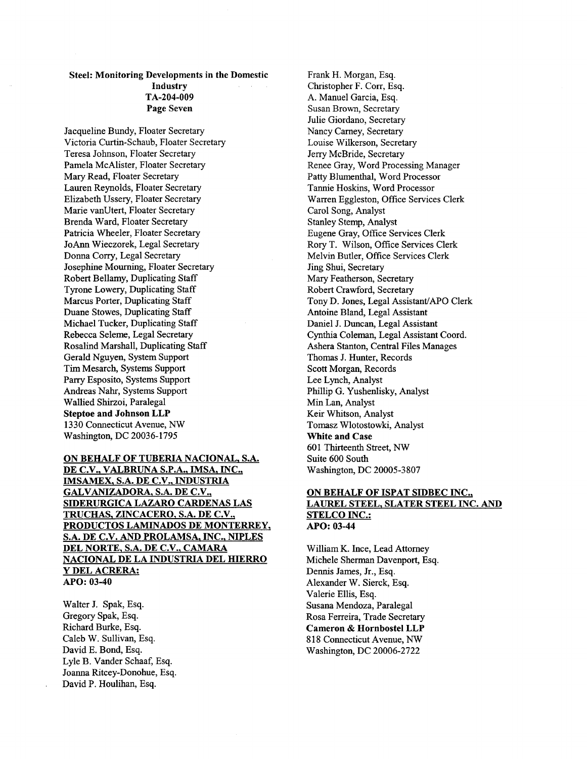# Steel: Monitoring Developments in the Domestic Industry Page Seven TA-204-009

Jacqueline Bundy, Floater Secretary Victoria Curtin-Schaub, Floater Secretary Teresa Johnson, Floater Secretary Pamela McAlister, Floater Secretary Mary Read, Floater Secretary Lauren Reynolds, Floater Secretary Elizabeth Ussery, Floater Secretary Marie vanUtert, Floater Secretary Brenda Ward, Floater Secretary Patricia Wheeler, Floater Secretary JoAnn Wieczorek, Legal Secretary Donna Corry, Legal Secretary Josephine Mourning, Floater Secretary Robert Bellamy, Duplicating Staff Tyrone Lowery, Duplicating Staff Marcus Porter, Duplicating Staff Duane Stowes, Duplicating Staff Michael Tucker, Duplicating Staff Rebecca Seleme, Legal Secretary Rosalind Marshall, Duplicating Staff Gerald Nguyen, System Support Tim Mesarch, Systems Support Parry Esposito, Systems Support Andreas Nahr, Systems Support Wallied Shirzoi, Paralegal Steptoe and Johnson LLP 1330 Connecticut Avenue, *NW*  Washington, DC 20036-1795

## ON BEHALF OF TUBERIA NACIONAL. S.A. DE C.V.. VALBRUNA S.P.A., IMSA, INC., IMSAMEX, S.A. DE C.V., INDUSTRIA GALVANIZADORA, S.A. DE C.V., SIDERURGICA LAZAR0 CARDENAS LAS TRUCHAS, ZINCACERO, S.A. DE C.V., PRODUCTOS LAMINADOS DE MONTERREY, S.A. DE C.V. AND PROLAMSA. INC.. NIPLES DEL NORTE. S.A. DE C.V., CAMARA NACIONAL DE LA INDUSTRIA DEL HIERRO **Y** DEL ACRERA: *APO:* 03-40

Walter J. Spak, Esq. Gregory Spak, Esq. Richard Burke, Esq. Caleb W. Sullivan, Esq. David E. Bond, Esq. Lyle B. Vander Schaaf, Esq. Joanna Ritcey-Donohue, Esq. David P. Houlihan, Esq.

Frank H. Morgan, Esq. Christopher F. Corr, Esq. A. Manuel Garcia, Esq. Susan Brown, Secretary Julie Giordano, Secretary Nancy Carney, Secretary Louise Wilkerson, Secretary Jerry McBride, Secretary Renee Gray, Word Processing Manager Patty Blumenthal, Word Processor Tannie Hoskins, Word Processor Warren Eggleston, Office Services Clerk Carol Song, Analyst Stanley Stemp, Analyst Eugene Gray, Office Services Clerk Rory T. Wilson, Office Services Clerk Melvin Butler, Office Services Clerk Jing Shui, Secretary Mary Featherson, Secretary Robert Crawford, Secretary Tony D. Jones, Legal Assistant/APO Clerk Antoine Bland, Legal Assistant Daniel J. Duncan, Legal Assistant Cynthia Coleman, Legal Assistant Coord. Ashera Stanton, Central Files Manages Thomas J. Hunter, Records Scott Morgan, Records Lee Lynch, Analyst Phillip G. Yushenlisky, Analyst Min Lan, Analyst Keir Whtson, Analyst Tomasz Wlotostowki, Analyst White and Case 601 Thirteenth Street, *NW*  Suite 600 South Washington, DC 20005-3807

#### ON BEHALF OF ISPAT SIDBEC INC., LAUREL STEEL, SLATER STEEL INC. AND STELCO INC.: *APO:* 03-44

William K. Ince, Lead Attorney Michele Sherman Davenport, Esq. Dennis James, Jr., Esq. Alexander W. Sierck, Esq. Valerie Ellis, Esq. Susana Mendoza, Paralegal Rosa Ferreira, Trade Secretary Cameron & Hornbostel LLP 8 18 Connecticut Avenue, *NW*  Washmgton, DC 20006-2722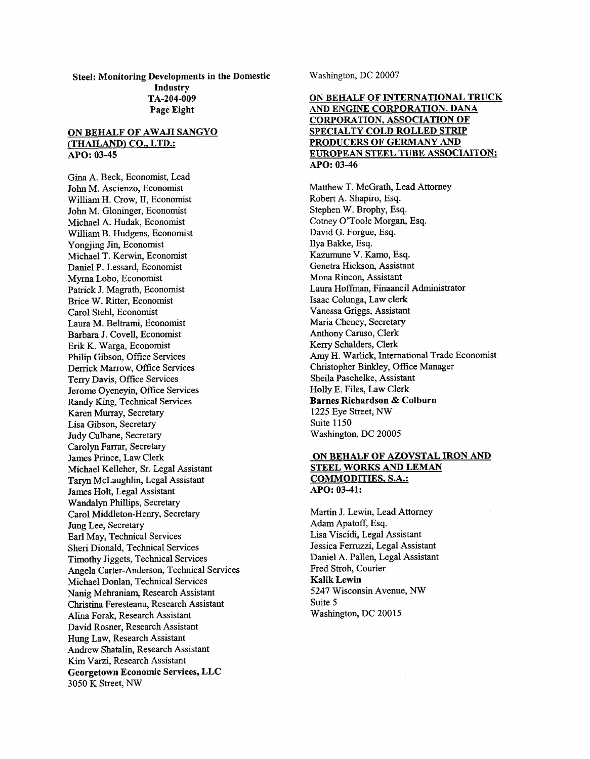**Steel: Monitoring Developments in the Domestic Industry**  Page **Eight TA-204-009** 

### **ON BEHALF OF AWAJI SANGYO /THAILAND) CO.. LTD.:**  *APO:* **03-45**

Gina A. Beck, Economist, Lead John M. Ascienzo, Economist William H. Crow, 11, Economist John M. Gloninger, Economist Michael A. Hudak, Economist William B. Hudgens, Economist Yongjing Jin, Economist Michael T. Kerwin, Economist Daniel P. Lessard, Economist Myrna Lobo, Economist Patrick J. Magrath, Economist Brice W. Ritter, Economist Carol Stehl, Economist Laura M. Beltrami, Economist Barbara J. Covell, Economist Erik K. Warga, Economist Philip Gibson, Office Services Derrick Marrow, Office Services Terry Davis, Office Services Jerome Oyeneyin, Office Services Randy King, Technical Services Karen Murray, Secretary Lisa Gibson, Secretary Judy Culhane, Secretary Carolyn Farrar, Secretary James Prince, Law Clerk Michael Kelleher, Sr. Legal Assistant Taryn McLaughlin, Legal Assistant James Holt, Legal Assistant Wandalyn Phillips, Secretary Carol Middleton-Henry, Secretary Jung Lee, Secretary Earl May, Technical Services Sheri Dionald, Technical Services Timothy Jiggets, Technical Services Angela Carter-Anderson, Technical Services Michael Donlan, Technical Services Nanig Mehraniam, Research Assistant Christina Feresteanu, Research Assistant Alina Forak, Research Assistant David Rosner, Research Assistant Hung Law, Research Assistant Andrew Shatalin, Research Assistant Kim Varzi, Research Assistant **Georgetown Economic Services, LLC**  3050 K Street, *NW* 

Washington, DC 20007

## **ON BEHALF OF INTERNATIONAL TRUCK AND ENGINE CORPORATION, DANA CORPORATION, ASSOCIATION OF SPECIALTY COLD ROLLED STRIP PRODUCERS OF GERMANY AND EUROPEAN STEEL TUBE ASSOCIAITON: APO: 03-46**

Matthew T. McGrath, Lead Attorney Robert A. Shapiro, Esq. Stephen W. Brophy, Esq. Cotney O'Toole Morgan, **Esq.**  David G. Forgue, Esq. Ilya Bakke, Esq. Kazumune V. Kamo, Esq. Genetra Hickson, Assistant Mona Rincon, Assistant Laura Hoffman, Finaancil Administrator Isaac Colunga, Law clerk Vanessa Griggs, Assistant Maria Cheney, Secretary Anthony Caruso, Clerk Kerry Schalders, Clerk Amy H. Warlick, International Trade Economist Christopher Bmkley, Office Manager Sheila Paschelke, Assistant Holly E. Files, Law Clerk **Barnes Richardson** & **Colburn**  1225 Eye Street, *NW*  Suite 1150 Washington, DC 20005

## **ON BEHALF OF AZOVSTAL IRON AND STEEL WORKS AND LEMAN COMMODITIES, S.A.:**  *APO:* **03-41:**

Martin J. Lewin, Lead Attorney Adam Apatoff, Esq. Lisa Viscidi, Legal Assistant Jessica Fermzzi, Legal Assistant Daniel A. Pallen, Legal Assistant Fred Stroh, Courier **Kalik Lewin**  5247 Wisconsin Avenue, *NW*  Suite 5 Washington, DC 20015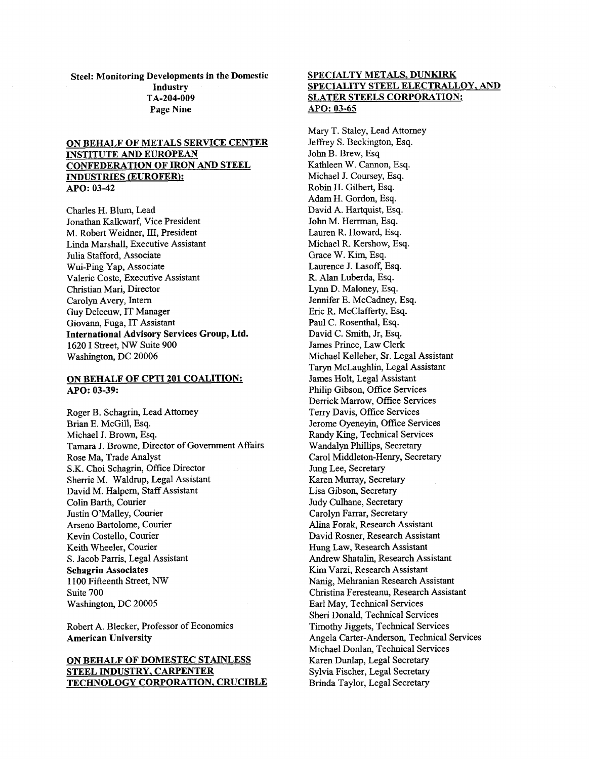Steel: Monitoring Developments in the Domestic **Industry** Page Nine TA-204-009

## ON BEHALF OF METALS SERVICE CENTER INSTITUTE AND EUROPEAN CONFEDERATION OF IRON AND STEEL INDUSTRIES (EUROFER): APO: 03-42

Charles H. Blum, Lead Jonathan Kalkwarf, Vice President M. Robert Weidner, 111, President Linda Marshall, Executive Assistant Julia Stafford, Associate Wui-Ping Yap, Associate Valerie Coste, Executive Assistant Christian Mari, Director Carolyn Avery, Intern Guy Deleeuw, IT Manager Giovann, Fuga, IT Assistant International Advisory Services Group, Ltd. 1620 I Street, *Nw* Suite 900 Washington, DC 20006

#### ON BEHALF OF CPTI **201** COALITION: *APO:* 03-39:

Roger B. Schagrin, Lead Attorney Brian E. McGill, Esq. Michael J. Brown, Esq. Tamara J. Browne, Director of Government Affairs Rose Ma, Trade Analyst S.K. Choi Schagrin, Office Director Sherrie M. Waldrup, Legal Assistant David M. Halpern, Staff Assistant Colin Barth, Courier Justin O'Malley, Courier Arseno Bartolome, Courier Kevin Costello, Courier Keith Wheeler, Courier S. Jacob Parris, Legal Assistant Schagrin Associates 1100 Fifteenth Street, *NW*  Suite 700 Washington, DC 20005

Robert A. Blecker, Professor of Economics American University

## ON BEHALF OF DOMESTEC STAINLESS STEEL INDUSTRY, CARPENTER TECHNOLOGY CORPORATION, CRUCIBLE

## SPECIALTY METALS, DUNKIRK SPECIALITY STEEL ELECTRALLOY, AND SLATER STEELS CORPORATION: APO: 03-65

Mary T. Staley, Lead Attorney Jeffrey S. Beckington, Esq. John B. Brew, Esq. Kathleen W. Cannon, Esq. Michael J. Coursey, Esq. Robin H. Gilbert, Esq. Adam H. Gordon, Esq. David A. Hartquist, Esq. John M. Herrman, Esq. Lauren R. Howard, Esq. Michael R. Kershow, Esq. Grace W. Kim, Esq. Laurence J. Lasoff, Esq. R. Alan Luberda, Esq. Lynn D. Maloney, Esq. Jennifer E. McCadney, Esq. Eric R. McClafferty, Esq. Paul C. Rosenthal, Esq. David C. Smith, Jr, Esq. James Prince, Law Clerk Michael Kelleher, Sr. Legal Assistant Taryn McLaughlin, Legal Assistant James Holt, Legal Assistant Philip Gibson, Office Services Derrick Marrow, Office Services Terry Davis, Office Services Jerome Oyeneyin, Office Services Randy King, Technical Services Wandalyn Phillips, Secretary Carol Middleton-Henry, Secretary Jung Lee, Secretary Karen Murray, Secretary Lisa Gibson, Secretary Judy Culhane, Secretary Carolyn Farrar, Secretary Alina Forak, Research Assistant David Rosner, Research Assistant Hung Law, Research Assistant Andrew Shatalin, Research Assistant Kim Varzi, Research Assistant Nanig, Mehranian Research Assistant Christina Feresteanu, Research Assistant Earl May, Technical Services Sheri Donald, Technical Services Timothy Jiggets, Technical Services Angela Carter-Anderson, Technical Services Michael Donlan, Technical Services Karen Dunlap, Legal Secretary Sylvia Fischer, Legal Secretary Brinda Taylor, Legal Secretary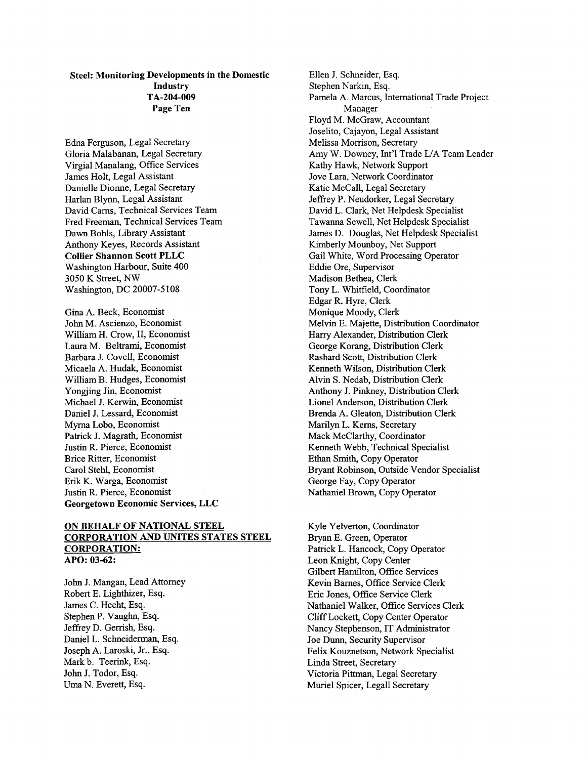## Steel: Monitoring Developments in the Domestic Industry Page Ten TA-204-009

Edna Ferguson, Legal Secretary Gloria Malabanan, Legal Secretary Virgial Manalang, Office Services James Holt, Legal Assistant Danielle Dionne, Legal Secretary Harlan Blynn, Legal Assistant David Cams, Technical Services Team Fred Freeman, Technical Services Team Dawn Bohls, Library Assistant Anthony Keyes, Records Assistant Collier Shannon Scott PLLC Washington Harbour, Suite 400 3050 K Street, NW Washington, DC 20007-5108

Gina A. Beck, Economist John M. Ascienzo, Economist William H. Crow, 11, Economist Laura M. Beltrami, Economist Barbara J. Covell, Economist Micaela A. Hudak, Economist William B. Hudges, Economist Yongjing Jin, Economist Michael J. Kerwin, Economist Daniel J. Lessard, Economist Myrna Lobo, Economist Patrick J. Magrath, Economist Justin R. Pierce, Economist Brice Ritter, Economist Carol Stehl, Economist Erik K. Warga, Economist Justin R. Pierce, Economist Georgetown Economic Services, LLC

### ON BEHALF OF NATIONAL STEEL CORPORATION AND UNITES STATES STEEL CORPORATION: *APO:* 03-62:

John J. Mangan, Lead Attorney Robert E. Lighthizer, Esq. James C. Hecht, Esq. Stephen P. Vaughn, Esq. Jeffrey D. Gerrish, Esq. Daniel L. Schneiderman, Esq. Joseph A. Laroski, Jr., Esq. Mark b. Teerink, Esq. John J. Todor, Esq. Uma N. Everett, Esq.

Ellen J. Schneider, Esq. Stephen Narkin, Esq. Pamela A. Marcus, International Trade Project Floyd M. McGraw, Accountant Joselito, Cajayon, Legal Assistant Melissa Morrison, Secretary Amy W. Downey, Int'l Trade L/A Team Leader Kathy Hawk, Network Support Jove Lara, Network Coordinator Katie McCall, Legal Secretary Jeffrey P. Neudorker, Legal Secretary David L. Clark, Net Helpdesk Specialist Tawanna Sewell, Net Helpdesk Specialist James D. Douglas, Net Helpdesk Specialist Kimberly Mounboy, Net Support Gail White, Word Processing Operator Eddie Ore, Supervisor Madison Bethea, Clerk Tony L. Whitfield, Coordinator Edgar R. Hyre, Clerk Monique Moody, Clerk Melvin E. Majette, Distribution Coordinator Harry Alexander, Distribution Clerk George Korang, Distribution Clerk Rashard Scott, Distribution Clerk Kenneth Wilson, Distribution Clerk Alvin S. Nedab, Distribution Clerk Anthony J. Pinkney, Distribution Clerk Lionel Anderson, Distribution Clerk Brenda A. Gleaton, Distribution Clerk Marilyn L. Kerns, Secretary Mack McClarthy, Coordinator Kenneth Webb, Technical Specialist Ethan Smith, Copy Operator Bryant Robinson, Outside Vendor Specialist George Fay, Copy Operator Nathaniel Brown, Copy Operator Manager

Kyle Yelverton, Coordinator Bryan E. Green, Operator Patrick L. Hancock, Copy Operator Leon Knight, Copy Center Gilbert Hamilton, Office Services Kevin Barnes, Office Service Clerk Eric Jones, Office Service Clerk Nathaniel Walker, Office Services Clerk Cliff Lockett, Copy Center Operator Nancy Stephenson, IT Administrator Joe Dunn, Security Supervisor Felix Kouznetson, Network Specialist Linda Street, Secretary Victoria Pittman, Legal Secretary Muriel Spicer, Legal1 Secretary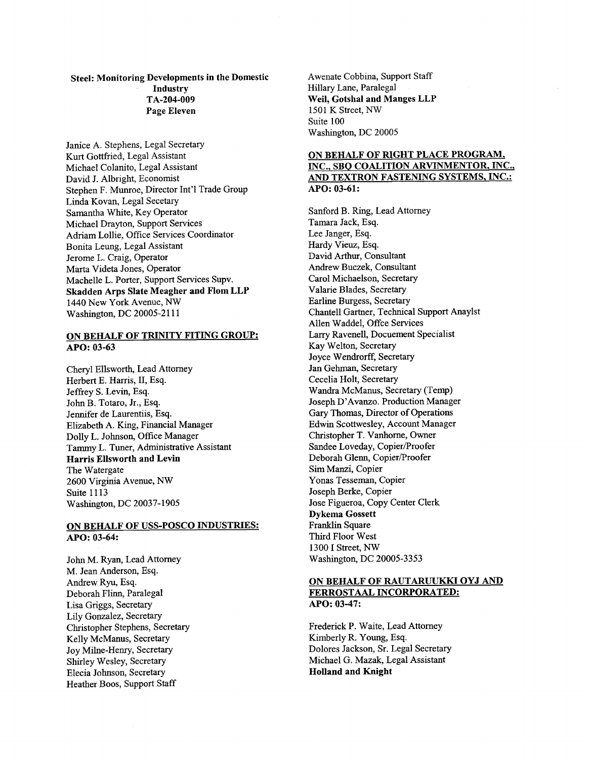## Steel: Monitoring Developments in the Domestic Industry Page Eleven TA-204-009

Janice A. Stephens, Legal Secretary Kurt Gottfried, Legal Assistant Michael Colanito, Legal Assistant David J. Albright, Economist Stephen F. Munroe, Director Int'l Trade Group Linda Kovan, Legal Secetary Samantha White, Key Operator Michael Drayton, Support Services Adriam Lollie, Office Services Coordinator Bonita Leung, Legal Assistant Jerome L. Craig, Operator Marta Videta Jones, Operator Machelle L. Porter, Support Services Supv. Skadden Arps Slate Meagher and Flom LLP 1440 New York Avenue, *NW*  Washington, DC 20005-2111

#### ON BEHALF OF TRINITY FITING GROUP: *APO:* **03-63**

Cheryl Ellsworth, Lead Attorney Herbert E. Harris, II, Esq. Jeffrey S. Levin, Esq. John B. Totaro, Jr., Esq. Jennifer de Laurentiis, Esq. Elizabeth A. King, Financial Manager Dolly L. Johnson, Office Manager Tammy L. Tuner, Admjmstrative Assistant Harris Ellsworth and Levin The Watergate 2600 Virginia Avenue, *NW*  Suite 11 13 Washington, DC 20037-1905

## ON BEHALF OF USS-POSCO INDUSTRIES: *APO:* **03-64:**

John M. Ryan, Lead Attorney M. Jean Anderson, Esq. Andrew Ryu, Esq. Deborah Flinn, Paralegal Lisa Griggs, Secretary Lily Gonzalez, Secretary Christopher Stephens, Secretary Kelly McManus, Secretary Joy Milne-Henry, Secretary Shirley Wesley, Secretary Elecia Johnson, Secretary Heather Boos, Support Staff

Awenate Cobbina, Support Staff Hillary Lane, Paralegal Weil, Gotshal and Manges LLP 1501 K Street, *NW*  Suite 100 Washington, DC 20005

## ON BEHALF OF RIGHT PLACE PROGRAM, INC., SBQ COALITION ARVINMENTOR, INC., AND TEXTRON FASTENING SYSTEMS, INC.: *APO:* **03-61:**

Sanford B. Ring, Lead Attorney Tamara Jack, Esq. Lee Janger, Esq. Hardy Vieuz, Esq. David Arthur, Consultant Andrew Buczek, Consultant Carol Michaelson, Secretary Valarie Blades, Secretary Earline Burgess, Secretary Chantell Gartner, Technical Support Anaylst Allen Waddel, Offce Services Larry Ravenell, Docuement Specialist Kay Welton, Secretary Joyce Wendrorff, Secretary Jan Gehman, Secretary Cecelia Holt, Secretary Wandra McManus, Secretary (Temp) Joseph D'Avanzo. Production Manager Gary Thomas, Director of Operations Edwin Scottwesley, Account Manager Christopher T. Vanhorne, Owner Sandee Loveday, Copier/Proofer Deborah Glenn, Copier/Proofer Sim Manzi, Copier Yonas Tesseman, Copier Joseph Berke, Copier Jose Figueroa, Copy Center Clerk Dykema Gossett Franklin Square Third Floor West 1300 I Street, *NW*  Washington, DC 20005-3353

## ON BEHALF OF RAUTARUUKKI OYJ AND FERROSTAAL INCORPORATED: *APO:* **03-47:**

Frederick P. Waite, Lead Attorney Kimberly R. Young, Esq. Dolores Jackson, Sr. Legal Secretary Michael G. Mazak, Legal Assistant Holland and Knight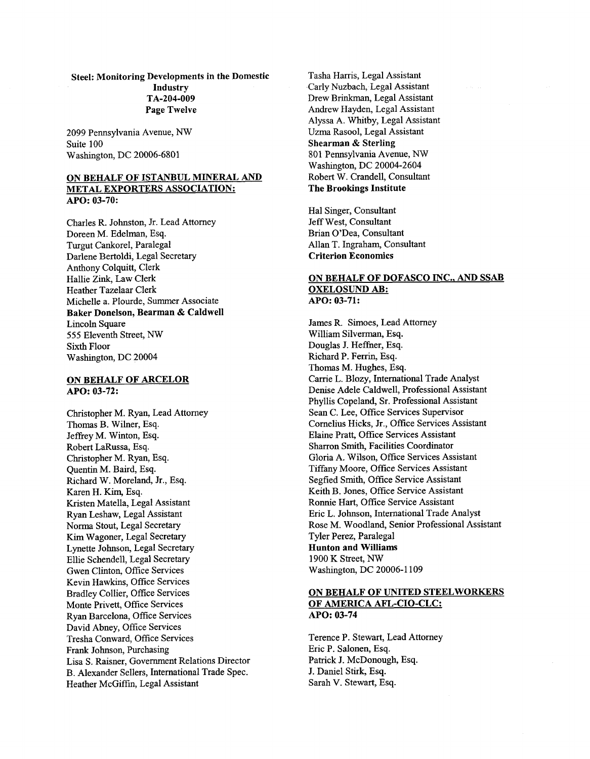## Steel: Monitoring Developments in the Domestic Industry Page Twelve TA-204-009

2099 Pennsylvania Avenue, *NW*  Suite 100 Washington, DC 20006-6801

#### ON BEHALF OF ISTANBUL MINERAL AND METAL EXPORTERS ASSOCIATION: *APO:* 03-70:

Charles R. Johnston, Jr. Lead Attorney Doreen M. Edelman, Esq. Turgut Cankorel, Paralegal Darlene Bertoldi, Legal Secretary Anthony Colquitt, Clerk Hallie *Zink,* Law Clerk Heather Tazelaar Clerk Michelle a. Plourde, Summer Associate Baker Donelson, Bearman & Caldwell Lincoln Square 555 Eleventh Street, *NW*  Sixth Floor Washington, DC 20004

#### ON BEHALF OF ARCELOR *APO:* 03-72:

Christopher M. Ryan, Lead Attorney Thomas B. Wilner, Esq. Jeffrey M. Winton, Esq. Robert LaRussa, Esq. Christopher M. Ryan, Esq. Quentin M. Baird, Esq. Richard W. Moreland, Jr., Esq. Karen H. Kim, Esq. Kristen Matella, Legal Assistant Ryan Leshaw, Legal Assistant Norma Stout, Legal Secretary Kim Wagoner, Legal Secretary Lynette Johnson, Legal Secretary Ellie Schendell, Legal Secretary Gwen Clinton, Office Services Kevin Hawkins, Office Services Bradley Collier, Office Services Monte Privett, Office Services Ryan Barcelona, Office Services David Abney, Office Services Tresha Conward, Office Services Frank Johnson, Purchasing Lisa S. Raisner, Government Relations Director B. Alexander Sellers, International Trade Spec. Heather McGiffin, Legal Assistant

Tasha Harris, Legal Assistant Carly Nuzbach, Legal Assistant Drew Brinkman, Legal Assistant Andrew Hayden, Legal Assistant Alyssa A. Whitby, Legal Assistant Uzma Rasool, Legal Assistant Shearman & Sterling 801 Pennsylvania Avenue, *NW*  Washington, DC 20004-2604 Robert W. Crandell, Consultant The Brookings Institute

Hal Singer, Consultant Jeff West, Consultant Brian O'Dea, Consultant Allan T. Ingraham, Consultant Criterion Economics

### ON BEHALF OF DOFASCO INC.. AND **SSAB**  OXELOSUND AB: *APO:* 03-71:

James R. Simoes, Lead Attorney William Silverman, Esq. Douglas J. Hefher, Esq. Richard P. Ferrin, **Esq.**  Thomas M. Hughes, Esq. Carrie L. Blozy, International Trade Analyst Denise Adele Caldwell, Professional Assistant Phyllis Copeland, Sr. Professional Assistant Sean C. Lee, Office Services Supervisor Cornelius Hicks, Jr., Office Services Assistant Elaine Pratt, Office Services Assistant Sharron Smith, Facilities Coordinator Gloria A. Wilson, Office Services Assistant Tiffany Moore, Office Services Assistant Segfied Smith, Office Service Assistant Keith B. Jones, Office Service Assistant Ronnie Hart, Office Service Assistant Eric L. Johnson, International Trade Analyst Rose M. Woodland, Senior Professional Assistant Tyler Perez, Paralegal Hunton and Williams 1900 K Street, *NW*  Washington, DC 20006-1 109

## ON BEHALF OF UNITED STEELWORKERS OF AMERICA AFL-CIO-CLC: *APO:* 03-74

Terence P. Stewart, Lead Attorney Eric P. Salonen, Esq. Patrick J. McDonough, Esq. J. Daniel **Stirk,** Esq. Sarah V. Stewart, Esq.